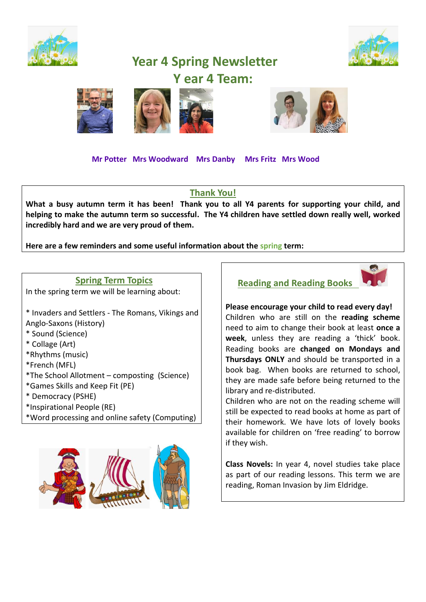

# **Year 4 Spring Newsletter Y ear 4 Team:**









 **Mr Potter Mrs Woodward Mrs Danby Mrs Fritz Mrs Wood** 

#### **Thank You!**

**What a busy autumn term it has been! Thank you to all Y4 parents for supporting your child, and helping to make the autumn term so successful. The Y4 children have settled down really well, worked incredibly hard and we are very proud of them.** 

**Here are a few reminders and some useful information about the spring term:** 

#### **Spring Term Topics**

In the spring term we will be learning about:

\* Invaders and Settlers - The Romans, Vikings and Anglo-Saxons (History)

- \* Sound (Science)
- \* Collage (Art)
- \*Rhythms (music)
- \*French (MFL)
- \*The School Allotment composting (Science)
- \*Games Skills and Keep Fit (PE)
- \* Democracy (PSHE)
- \*Inspirational People (RE)
- \*Word processing and online safety (Computing)







**Please encourage your child to read every day!** Children who are still on the **reading scheme** need to aim to change their book at least **once a week**, unless they are reading a 'thick' book. Reading books are **changed on Mondays and Thursdays ONLY** and should be transported in a book bag. When books are returned to school, they are made safe before being returned to the library and re-distributed.

Children who are not on the reading scheme will still be expected to read books at home as part of their homework. We have lots of lovely books available for children on 'free reading' to borrow if they wish.

**Class Novels:** In year 4, novel studies take place as part of our reading lessons. This term we are reading, Roman Invasion by Jim Eldridge.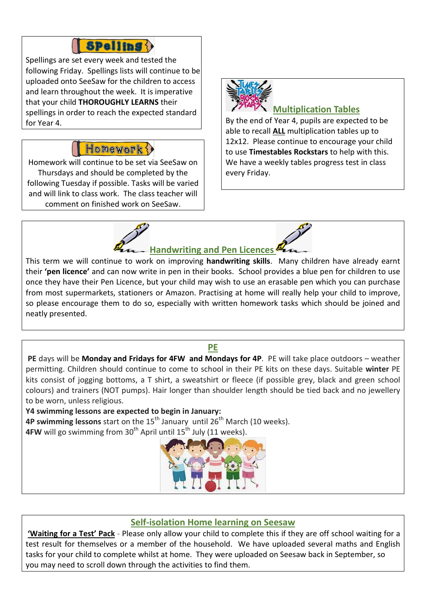## **Spelling ?**

Spellings are set every week and tested the following Friday. Spellings lists will continue to be uploaded onto SeeSaw for the children to access and learn throughout the week. It is imperative that your child **THOROUGHLY LEARNS** their spellings in order to reach the expected standard for Year 4.

## Honework ?

Homework will continue to be set via SeeSaw on Thursdays and should be completed by the following Tuesday if possible. Tasks will be varied and will link to class work. The class teacher will comment on finished work on SeeSaw.



### **Multiplication Tables**

By the end of Year 4, pupils are expected to be able to recall **ALL** multiplication tables up to 12x12. Please continue to encourage your child to use **Timestables Rockstars** to help with this. We have a weekly tables progress test in class every Friday.



This term we will continue to work on improving **handwriting skills**. Many children have already earnt their **'pen licence'** and can now write in pen in their books. School provides a blue pen for children to use once they have their Pen Licence, but your child may wish to use an erasable pen which you can purchase from most supermarkets, stationers or Amazon. Practising at home will really help your child to improve, so please encourage them to do so, especially with written homework tasks which should be joined and neatly presented.

#### **PE**

**PE** days will be **Monday and Fridays for 4FW and Mondays for 4P**. PE will take place outdoors – weather permitting. Children should continue to come to school in their PE kits on these days. Suitable **winter** PE kits consist of jogging bottoms, a T shirt, a sweatshirt or fleece (if possible grey, black and green school colours) and trainers (NOT pumps). Hair longer than shoulder length should be tied back and no jewellery to be worn, unless religious.

**Y4 swimming lessons are expected to begin in January: 4P swimming lessons** start on the 15<sup>th</sup> January until 26<sup>th</sup> March (10 weeks). **4FW** will go swimming from 30<sup>th</sup> April until 15<sup>th</sup> July (11 weeks).



#### **Self-isolation Home learning on Seesaw**

**'Waiting for a Test' Pack** - Please only allow your child to complete this if they are off school waiting for a test result for themselves or a member of the household. We have uploaded several maths and English tasks for your child to complete whilst at home. They were uploaded on Seesaw back in September, so you may need to scroll down through the activities to find them.